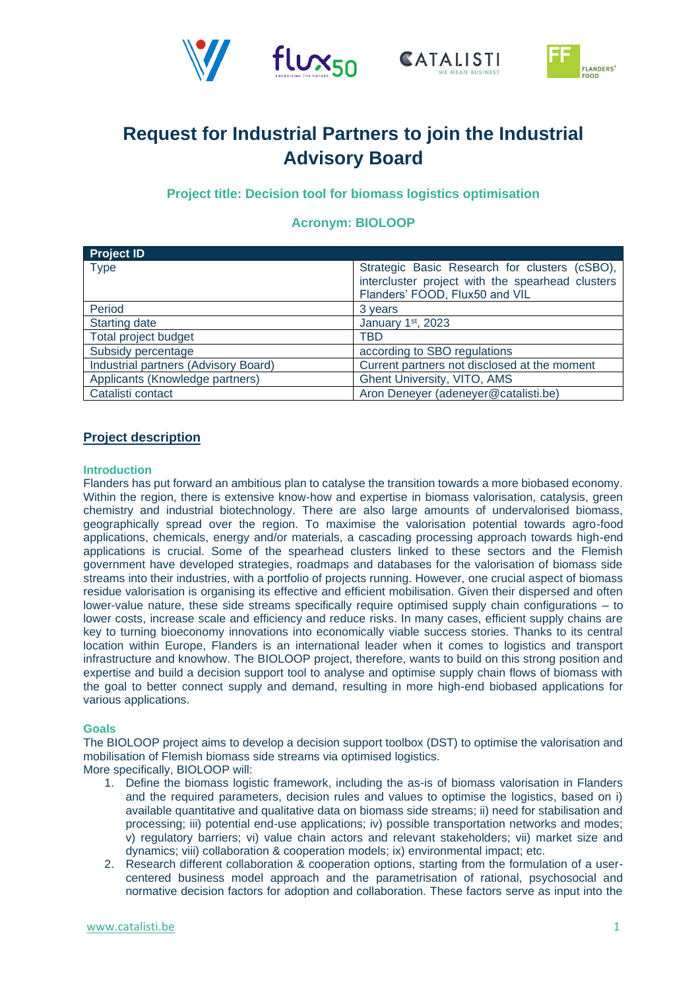





# **Request for Industrial Partners to join the Industrial Advisory Board**

**Project title: Decision tool for biomass logistics optimisation**

## **Acronym: BIOLOOP**

| <b>Project ID</b>                    |                                                                                                   |
|--------------------------------------|---------------------------------------------------------------------------------------------------|
| <b>Type</b>                          | Strategic Basic Research for clusters (cSBO),<br>intercluster project with the spearhead clusters |
|                                      | Flanders' FOOD, Flux50 and VIL                                                                    |
| Period                               | 3 years                                                                                           |
| <b>Starting date</b>                 | January 1st, 2023                                                                                 |
| Total project budget                 | TBD                                                                                               |
| Subsidy percentage                   | according to SBO regulations                                                                      |
| Industrial partners (Advisory Board) | Current partners not disclosed at the moment                                                      |
| Applicants (Knowledge partners)      | <b>Ghent University, VITO, AMS</b>                                                                |
| Catalisti contact                    | Aron Deneyer (adeneyer@catalisti.be)                                                              |

### **Project description**

#### **Introduction**

Flanders has put forward an ambitious plan to catalyse the transition towards a more biobased economy. Within the region, there is extensive know-how and expertise in biomass valorisation, catalysis, green chemistry and industrial biotechnology. There are also large amounts of undervalorised biomass, geographically spread over the region. To maximise the valorisation potential towards agro-food applications, chemicals, energy and/or materials, a cascading processing approach towards high-end applications is crucial. Some of the spearhead clusters linked to these sectors and the Flemish government have developed strategies, roadmaps and databases for the valorisation of biomass side streams into their industries, with a portfolio of projects running. However, one crucial aspect of biomass residue valorisation is organising its effective and efficient mobilisation. Given their dispersed and often lower-value nature, these side streams specifically require optimised supply chain configurations – to lower costs, increase scale and efficiency and reduce risks. In many cases, efficient supply chains are key to turning bioeconomy innovations into economically viable success stories. Thanks to its central location within Europe, Flanders is an international leader when it comes to logistics and transport infrastructure and knowhow. The BIOLOOP project, therefore, wants to build on this strong position and expertise and build a decision support tool to analyse and optimise supply chain flows of biomass with the goal to better connect supply and demand, resulting in more high-end biobased applications for various applications.

#### **Goals**

The BIOLOOP project aims to develop a decision support toolbox (DST) to optimise the valorisation and mobilisation of Flemish biomass side streams via optimised logistics.

- More specifically, BIOLOOP will:
	- 1. Define the biomass logistic framework, including the as-is of biomass valorisation in Flanders and the required parameters, decision rules and values to optimise the logistics, based on i) available quantitative and qualitative data on biomass side streams; ii) need for stabilisation and processing; iii) potential end-use applications; iv) possible transportation networks and modes; v) regulatory barriers; vi) value chain actors and relevant stakeholders; vii) market size and dynamics; viii) collaboration & cooperation models; ix) environmental impact; etc.
	- 2. Research different collaboration & cooperation options, starting from the formulation of a usercentered business model approach and the parametrisation of rational, psychosocial and normative decision factors for adoption and collaboration. These factors serve as input into the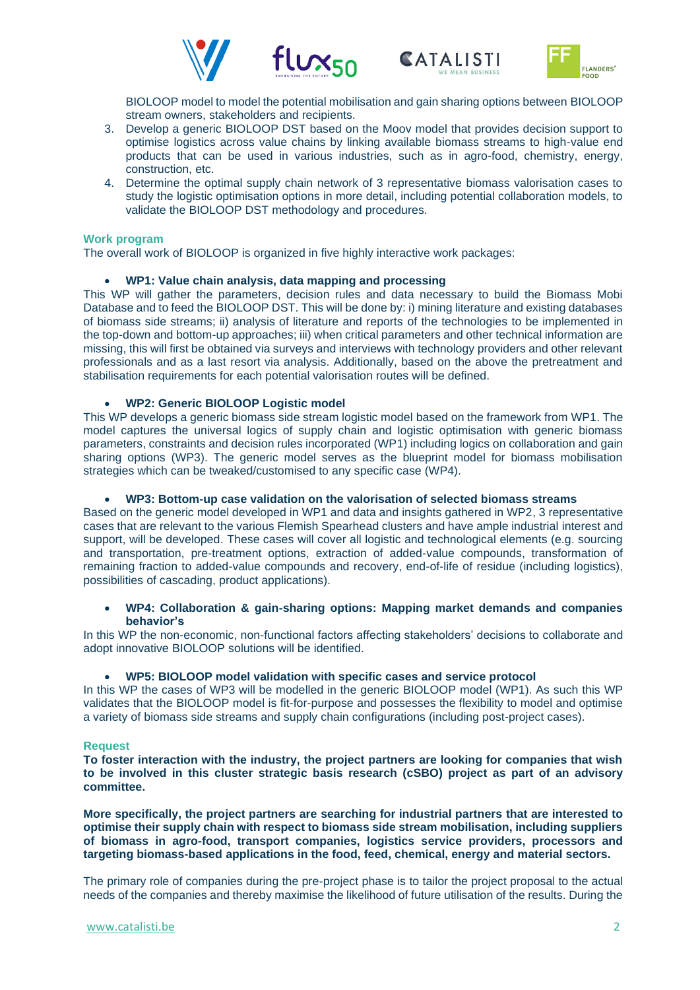





BIOLOOP model to model the potential mobilisation and gain sharing options between BIOLOOP stream owners, stakeholders and recipients.

- 3. Develop a generic BIOLOOP DST based on the Moov model that provides decision support to optimise logistics across value chains by linking available biomass streams to high-value end products that can be used in various industries, such as in agro-food, chemistry, energy, construction, etc.
- 4. Determine the optimal supply chain network of 3 representative biomass valorisation cases to study the logistic optimisation options in more detail, including potential collaboration models, to validate the BIOLOOP DST methodology and procedures.

#### **Work program**

The overall work of BIOLOOP is organized in five highly interactive work packages:

#### • **WP1: Value chain analysis, data mapping and processing**

This WP will gather the parameters, decision rules and data necessary to build the Biomass Mobi Database and to feed the BIOLOOP DST. This will be done by: i) mining literature and existing databases of biomass side streams; ii) analysis of literature and reports of the technologies to be implemented in the top-down and bottom-up approaches; iii) when critical parameters and other technical information are missing, this will first be obtained via surveys and interviews with technology providers and other relevant professionals and as a last resort via analysis. Additionally, based on the above the pretreatment and stabilisation requirements for each potential valorisation routes will be defined.

#### • **WP2: Generic BIOLOOP Logistic model**

This WP develops a generic biomass side stream logistic model based on the framework from WP1. The model captures the universal logics of supply chain and logistic optimisation with generic biomass parameters, constraints and decision rules incorporated (WP1) including logics on collaboration and gain sharing options (WP3). The generic model serves as the blueprint model for biomass mobilisation strategies which can be tweaked/customised to any specific case (WP4).

#### • **WP3: Bottom-up case validation on the valorisation of selected biomass streams**

Based on the generic model developed in WP1 and data and insights gathered in WP2, 3 representative cases that are relevant to the various Flemish Spearhead clusters and have ample industrial interest and support, will be developed. These cases will cover all logistic and technological elements (e.g. sourcing and transportation, pre-treatment options, extraction of added-value compounds, transformation of remaining fraction to added-value compounds and recovery, end-of-life of residue (including logistics), possibilities of cascading, product applications).

#### • **WP4: Collaboration & gain-sharing options: Mapping market demands and companies behavior's**

In this WP the non-economic, non-functional factors affecting stakeholders' decisions to collaborate and adopt innovative BIOLOOP solutions will be identified.

#### • **WP5: BIOLOOP model validation with specific cases and service protocol**

In this WP the cases of WP3 will be modelled in the generic BIOLOOP model (WP1). As such this WP validates that the BIOLOOP model is fit-for-purpose and possesses the flexibility to model and optimise a variety of biomass side streams and supply chain configurations (including post-project cases).

#### **Request**

**To foster interaction with the industry, the project partners are looking for companies that wish to be involved in this cluster strategic basis research (cSBO) project as part of an advisory committee.**

**More specifically, the project partners are searching for industrial partners that are interested to optimise their supply chain with respect to biomass side stream mobilisation, including suppliers of biomass in agro-food, transport companies, logistics service providers, processors and targeting biomass-based applications in the food, feed, chemical, energy and material sectors.**

The primary role of companies during the pre-project phase is to tailor the project proposal to the actual needs of the companies and thereby maximise the likelihood of future utilisation of the results. During the